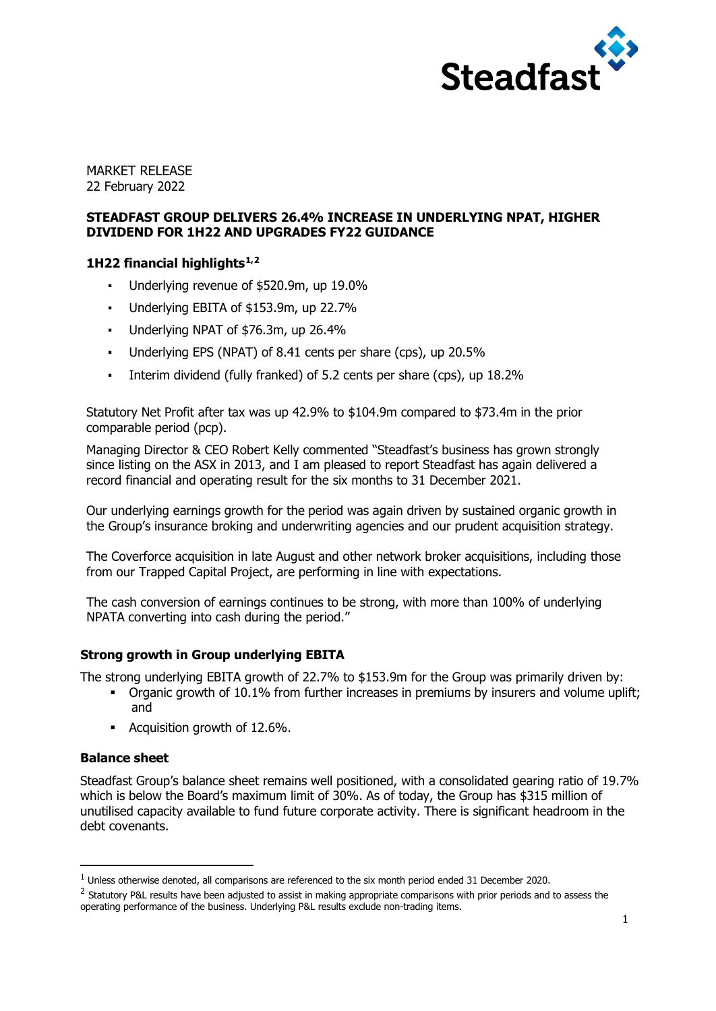

MARKET RELEASE 22 February 2022

# **STEADFAST GROUP DELIVERS 26.4% INCREASE IN UNDERLYING NPAT, HIGHER DIVIDEND FOR 1H22 AND UPGRADES FY22 GUIDANCE**

# **1H22 financial highlights[1,](#page-0-0)[2](#page-0-1)**

- Underlying revenue of \$520.9m, up 19.0%
- Underlying EBITA of \$153.9m, up 22.7%
- Underlying NPAT of \$76.3m, up 26.4%
- Underlying EPS (NPAT) of 8.41 cents per share (cps), up 20.5%
- Interim dividend (fully franked) of 5.2 cents per share (cps), up 18.2%

Statutory Net Profit after tax was up 42.9% to \$104.9m compared to \$73.4m in the prior comparable period (pcp).

Managing Director & CEO Robert Kelly commented "Steadfast's business has grown strongly since listing on the ASX in 2013, and I am pleased to report Steadfast has again delivered a record financial and operating result for the six months to 31 December 2021.

Our underlying earnings growth for the period was again driven by sustained organic growth in the Group's insurance broking and underwriting agencies and our prudent acquisition strategy.

The Coverforce acquisition in late August and other network broker acquisitions, including those from our Trapped Capital Project, are performing in line with expectations.

The cash conversion of earnings continues to be strong, with more than 100% of underlying NPATA converting into cash during the period."

# **Strong growth in Group underlying EBITA**

The strong underlying EBITA growth of 22.7% to \$153.9m for the Group was primarily driven by:

- Organic growth of 10.1% from further increases in premiums by insurers and volume uplift; and
- **Acquisition growth of 12.6%.**

# **Balance sheet**

Steadfast Group's balance sheet remains well positioned, with a consolidated gearing ratio of 19.7% which is below the Board's maximum limit of 30%. As of today, the Group has \$315 million of unutilised capacity available to fund future corporate activity. There is significant headroom in the debt covenants.

<span id="page-0-0"></span> $1$  Unless otherwise denoted, all comparisons are referenced to the six month period ended 31 December 2020.

<span id="page-0-1"></span><sup>&</sup>lt;sup>2</sup> Statutory P&L results have been adjusted to assist in making appropriate comparisons with prior periods and to assess the operating performance of the business. Underlying P&L results exclude non-trading items.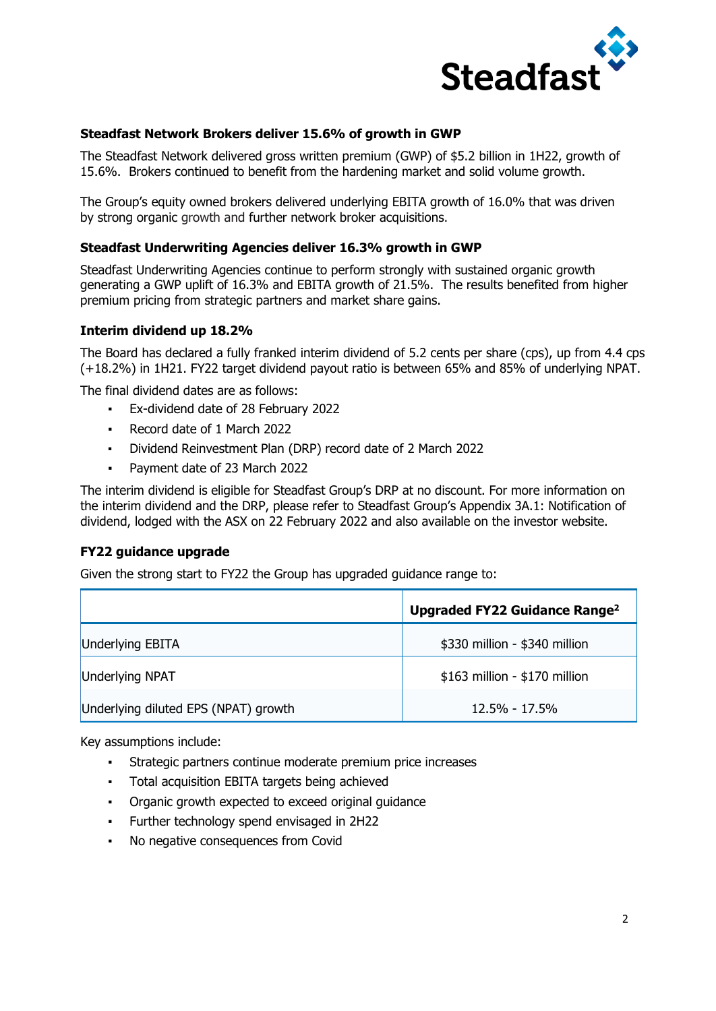

# **Steadfast Network Brokers deliver 15.6% of growth in GWP**

The Steadfast Network delivered gross written premium (GWP) of \$5.2 billion in 1H22, growth of 15.6%. Brokers continued to benefit from the hardening market and solid volume growth.

The Group's equity owned brokers delivered underlying EBITA growth of 16.0% that was driven by strong organic growth and further network broker acquisitions.

### **Steadfast Underwriting Agencies deliver 16.3% growth in GWP**

Steadfast Underwriting Agencies continue to perform strongly with sustained organic growth generating a GWP uplift of 16.3% and EBITA growth of 21.5%. The results benefited from higher premium pricing from strategic partners and market share gains.

### **Interim dividend up 18.2%**

The Board has declared a fully franked interim dividend of 5.2 cents per share (cps), up from 4.4 cps (+18.2%) in 1H21. FY22 target dividend payout ratio is between 65% and 85% of underlying NPAT.

The final dividend dates are as follows:

- Ex-dividend date of 28 February 2022
- Record date of 1 March 2022
- Dividend Reinvestment Plan (DRP) record date of 2 March 2022
- Payment date of 23 March 2022

The interim dividend is eligible for Steadfast Group's DRP at no discount. For more information on the interim dividend and the DRP, please refer to Steadfast Group's Appendix 3A.1: Notification of dividend, lodged with the ASX on 22 February 2022 and also available on the investor website.

# **FY22 guidance upgrade**

Given the strong start to FY22 the Group has upgraded guidance range to:

|                                      | Upgraded FY22 Guidance Range <sup>2</sup> |
|--------------------------------------|-------------------------------------------|
| Underlying EBITA                     | \$330 million - \$340 million             |
| Underlying NPAT                      | \$163 million - \$170 million             |
| Underlying diluted EPS (NPAT) growth | $12.5\% - 17.5\%$                         |

Key assumptions include:

- Strategic partners continue moderate premium price increases
- Total acquisition EBITA targets being achieved
- Organic growth expected to exceed original guidance
- Further technology spend envisaged in 2H22
- No negative consequences from Covid